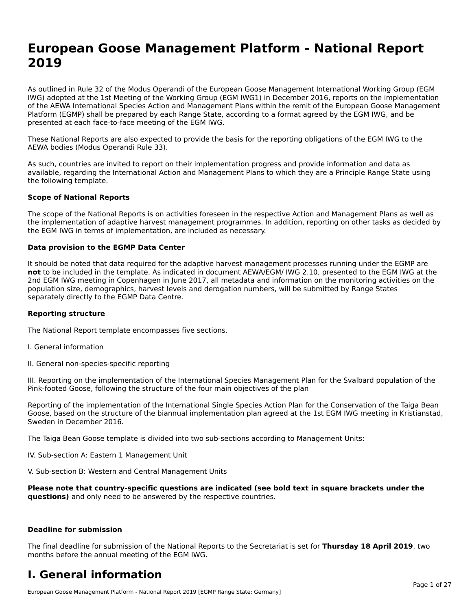# **European Goose Management Platform - National Report**European Goose Management Platform - National **Neport**<br>2010

As outlined in Rule 32 of the Modus Operandi of the European Goose Management International Working Group (EGM As buthled in Rule 32 of the Modus Operandi of the Lufopean Goose Management International Working Group (LGM<br>IWG) adopted at the 1st Meeting of the Working Group (EGM IWG1) in December 2016, reports on the implementation of the AEWA International Species Action and Management Plans within the remit of the European Goose Management Platform (EGMP) shall be prepared by each Range State, according to a format agreed by the EGM IWG, and be presented at each face-to-face meeting of the EGM IWG.

These National Reports are also expected to provide the basis for the reporting obligations of the EGM IWG to the AEWA bodies (Modus Operandi Rule 33).

As such, countries are invited to report on their implementation progress and provide information and data as<br>available, regarding the International Action and Management Plans to which they are a Principle Range State usi available, regarding the International Action and Management Plans to which they are a Principle Range State using the following template.

#### **Scope of National Reports**

The scope of the National Reports is on activities foreseen in the respective Action and Management Plans as well as The scope of the National Reports is on activities foreseen in the respective Action and Management Plans as well as<br>the implementation of adaptive harvest management programmes. In addition, reporting on other tasks as de the EGM IWG in terms of implementation, are included as necessary.

#### **Data provision to the EGMP Data Center**

It should be noted that data required for the adaptive harvest management processes running under the EGMP are **not** to be included in the template. As indicated in document AEWA/EGM/ IWG 2.10, presented to the EGM IWG at the 2nd EGM IWG meeting in Copenhagen in June 2017, all metadata and information on the monitoring activities on the population size, demographics, harvest levels and derogation numbers, will be submitted by Range States separately directly to the EGMP Data Centre.

#### **Reporting structure**

The National Report template encompasses five sections.

- I. General information
- II. General non-species-specific reporting

III. Reporting on the implementation of the International Species Management Plan for the Svalbard population of the

Reporting of the implementation of the International Single Species Action Plan for the Conservation of the Taiga Bean Reporting of the implementation of the international single species Action Fram for the conservation of the laiga beam<br>Goose, based on the structure of the biannual implementation plan agreed at the 1st EGM IWG meeting in

The Taiga Bean Goose template is divided into two sub-sections according to Management Units:

IV. Sub-section A: Eastern 1 Management Unit

V. Sub-section B: Western and Central Management Units

Please note that country-specific questions are indicated (see bold text in square brackets under the **questions)** and only need to be answered by the respective countries.

#### **Deadline for submission**

The final deadline for submission of the National Reports to the Secretariat is set for **Thursday 18 April 2019**, two months before the annual meeting of the EGM IWG.

### **I. General information**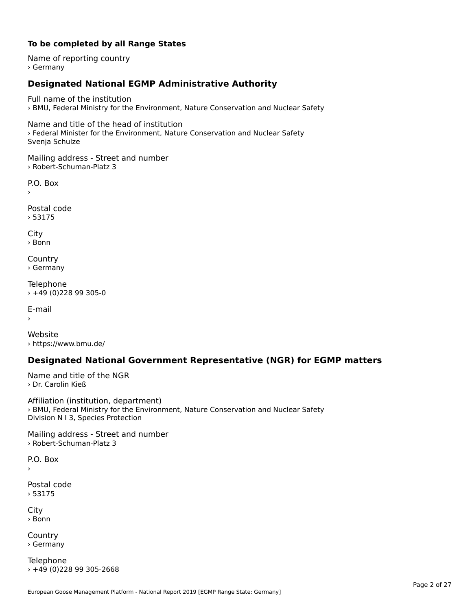# **To be completed by all Range States**

Name of reporting country › Germany

# **Designated National EGMP Administrative Authority**

Full name of the institution› BMU, Federal Ministry for the Environment, Nature Conservation and Nuclear Safety

Name and title of the head of institution › Federal Minister for the Environment, Nature Conservation and Nuclear Safety Svenja Schulze

Mailing address - Street and number › Robert-Schuman-Platz 3

 $\overline{P}$ ›

Postal code › 53175

City › Bonn

**Country** › Germany

Telephone › +49 (0)228 99 305-0

E-mail›

Website› https://www.bmu.de/

# **Designated National Government Representative (NGR) for EGMP matters**

Name and title of the NGR › Dr. Carolin Kieß

Affiliation (institution, department) Arimation (institution, acpartment)<br>> BMU, Federal Ministry for the Environment, Nature Conservation and Nuclear Safety Division N I 3, Species Protection

Mailing address - Street and number › Robert-Schuman-Platz 3

P.O. Box›

Postal code› 53175

City › Bonn

**Country** › Germany

Telephone › +49 (0)228 99 305-2668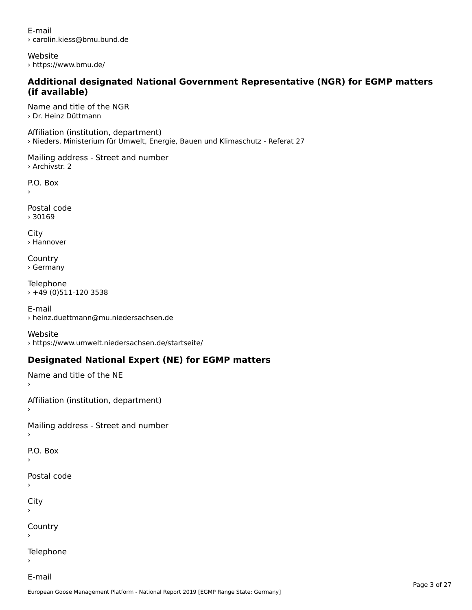E-mail› carolin.kiess@bmu.bund.de

Website › https://www.bmu.de/

### **Additional designated National Government Representative (NGR) for EGMP matters (if available)**(if available)

Name and title of the NGR › Dr. Heinz Düttmann

Affiliation (institution, department) › Nieders. Ministerium für Umwelt, Energie, Bauen und Klimaschutz - Referat 27

Mailing address - Street and number › Archivstr. 2

P.O. Box

Postal code› 30169

City › Hannover

**Country** › Germany

Telephone › +49 (0)511-120 3538

E-mail › heinz.duettmann@mu.niedersachsen.de

Website› https://www.umwelt.niedersachsen.de/startseite/

# **Designated National Expert (NE) for EGMP matters**

Name and title of the NE

Affiliation (institution, department)

Mailing address - Street and number

```
P.O. Box
```
›

›

Postal code

City

›

**Country** 

Telephone

E-mail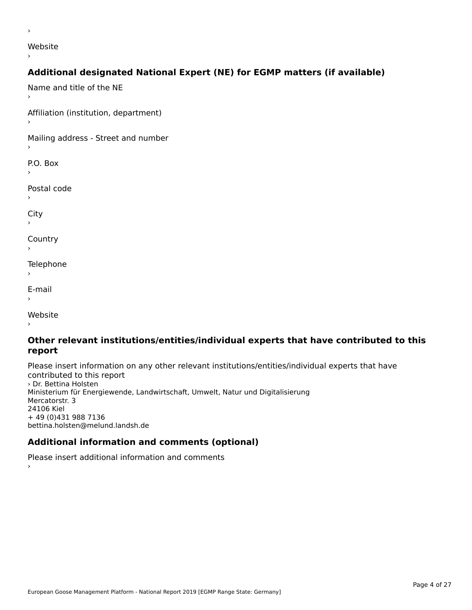website<br>Website

### ›

›

# **Additional designated National Expert (NE) for EGMP matters (if available)**

Name and title of the NE›Affiliation (institution, department) Mailing address - Street and number P.O. Box Postal code› $\mathbf{C}^{\text{th}}$ ›**Country** Telephone E-mail›website<br>Website ›

### **Other relevant institutions/entities/individual experts that have contributed to this report**report

Please insert information on any other relevant institutions/entities/individual experts that have riease insert information<br>contributed to this report › Dr. Bettina Holsten Ministerium für Energiewende, Landwirtschaft, Umwelt, Natur und Digitalisierung ministerium iu<br>Mercatorstr. 3 24106 Kiel+ 49 (0)431 988 7136 bettina.holsten@melund.landsh.de

# **Additional information and comments (optional)**

Please insert additional information and comments ›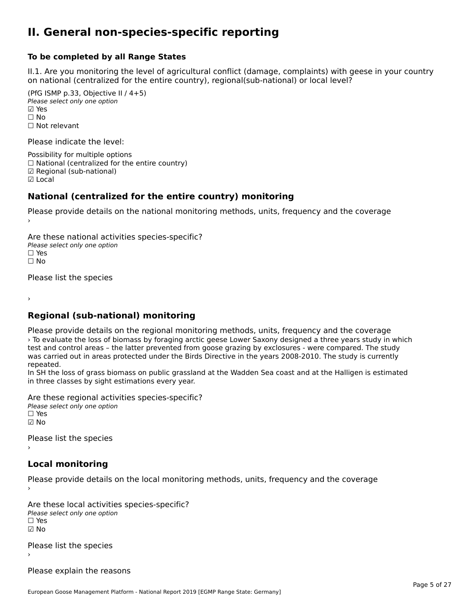### **II. General non-species-specific reporting**

#### **To be completed by all Range States**

II.1. Are you monitoring the level of agricultural conflict (damage, complaints) with geese in your country n.i. Are you monitoring the lever or agricultural connict (damage, complaints) with g<br>on national (centralized for the entire country), regional(sub-national) or local level?

(PfG ISMP p.33, Objective II  $(4+5)$ ) Please select only one option ☑ Yes**☑ Yes**<br>□ No □ No<br>□ Not relevant

Please indicate the level:

Possibility for multiple options  $\Box$  National (centralized for the entire country) ☑ Regional (sub-national) ☑ Local

#### **National (centralized for the entire country) monitoring**

Please provide details on the national monitoring methods, units, frequency and the coverage

Are these national activities species-specific? ∩ne enese national activity<br>Please select only one option ים וכ<br>⊡ No

Please list the species

›

#### **Regional (sub-national) monitoring**

Please provide details on the regional monitoring methods, units, frequency and the coverage › To evaluate the loss of biomass by foraging arctic geese Lower Saxony designed a three years study in which The evaluate the loss of biomass by foraging arctic geese Lower Saxony designed a timee years study in writest<br>test and control areas – the latter prevented from goose grazing by exclosures - were compared. The study test and control areas – the latter prevented from goose grazing by exclosures – were compared. The study is currently was carried out in areas protected under the Birds Directive in the years 2008-2010. The study is curre repeated.

In SH the loss of grass biomass on public grassland at the Wadden Sea coast and at the Halligen is estimated in 311 the loss of grass biomass on public grassia<br>in three classes by sight estimations every year.

Are these regional activities species-specific? ∩ne these regional activ<br>Please select only one option ☑ No

Please list the species ›

# **Local monitoring**

Please provide details on the local monitoring methods, units, frequency and the coverage

Are these local activities species-specific? ∩ne enese local decrimed.<br>Please select only one option ☑ No

Please list the species ›

Please explain the reasons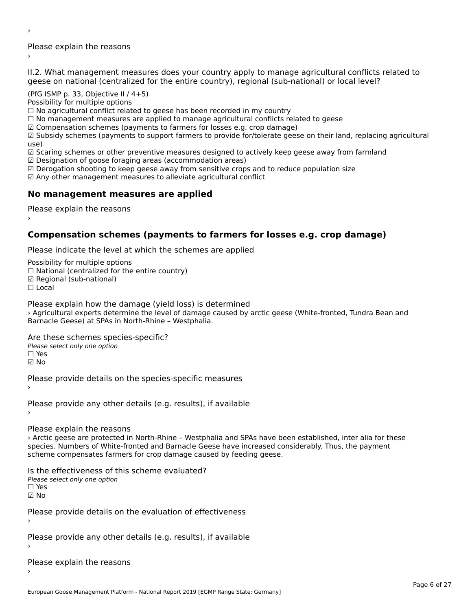Please explain the reasons ›

›

II.2. What management measures does your country apply to manage agricultural conflicts related to

(PfG ISMP p. 33, Objective II  $/$  4+5)

Possibility for multiple options

rossibility for multiple options<br>□ No agricultural conflict related to geese has been recorded in my country  $\Box$  No agricultural conflict related to geese has been recorded in high conflict  $r$ 

 $\Box$  Comparing the farmers are applied to finally eagliculum at conflicts text.

 $\boxtimes$  Compensation schemes (payments to farmers for losses e.g. crop damage)

ක compensation schemes (payments to farmers for losses e.g. crop damage)<br>Manus in their languarity chemes (payments to support farmers to provide for/tolerate geese on their land, replacing agricultural

use,<br>☑ Scaring schemes or other preventive measures designed to actively keep geese away from farmland

⊠ Scaring scrientes of other preventive measures designed to a<br>☑ Designation of goose foraging areas (accommodation areas)

ය Designation or goose foraging areas (accommodation areas)<br>☑ Derogation shooting to keep geese away from sensitive crops and to reduce population size

☑ Any other management measures to alleviate agricultural conflict

# **No management measures are applied**

Please explain the reasons ›

# **Compensation schemes (payments to farmers for losses e.g. crop damage)**

Please indicate the level at which the schemes are applied

Possibility for multiple options rossibility for multiple options<br>□ National (centralized for the entire country) □ National (centralized io<br>☑ Regional (sub-national)  $\Box$  Local

Please explain how the damage (yield loss) is determined

› Agricultural experts determine the level of damage caused by arctic geese (White-fronted, Tundra Bean and Barnacle Geese) at SPAs in North-Rhine – Westphalia.

Are these schemes species-specific?Please select only one option☐ Yes

☑ No

Please provide details on the species-specific measures

Please provide any other details (e.g. results), if available

Please explain the reasons

› Arctic geese are protected in North-Rhine – Westphalia and SPAs have been established, inter alia for these species. Numbers of White-fronted and Barnacle Geese have increased considerably. Thus, the payment species. Numbers of Wille-Holled and Barnacle Geese have increased contributions.

Is the effectiveness of this scheme evaluated? □ CIC CILCCLIVENC55 OF C<br>Please select only one option  $\square$  Yes

☑ No

›

Please provide details on the evaluation of effectiveness

Please provide any other details (e.g. results), if available

Please explain the reasons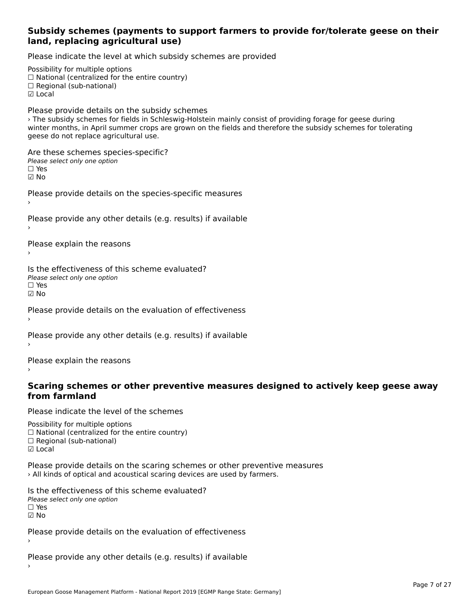### **Subsidy schemes (payments to support farmers to provide for/tolerate geese on their land, replacing agricultural use)**

Please indicate the level at which subsidy schemes are provided

Possibility for multiple options rossibility for multiple options<br>□ National (centralized for the entire country) □ Regional (centranzed to<br>□ Regional (sub-national) ☑ Local

Please provide details on the subsidy schemes › The subsidy schemes for fields in Schleswig-Holstein mainly consist of providing forage for geese during The subsidy schemes for helds in Schleswig-Holstein manny consist or providing forage for geese during<br>winter months, in April summer crops are grown on the fields and therefore the subsidy schemes for tolerating geese do not replace agricultural use.

Are these schemes species-specific? ∩ne these senemes spe<br>Please select only one option ☑ No

Please provide details on the species-specific measures

Please provide any other details (e.g. results) if available

Please explain the reasons

Is the effectiveness of this scheme evaluated? □ CITC CITCCLIVERESS OF C<br>Please select only one option ☑ No

Please provide details on the evaluation of effectiveness

Please provide any other details (e.g. results) if available

Please explain the reasons

### **Scaring schemes or other preventive measures designed to actively keep geese away from farmland**

Please indicate the level of the schemes

Possibility for multiple options гозывниу тог нингріе орноть<br>□ National (centralized for the entire country)  $\Box$  Regional (Sub-national)

Please provide details on the scaring schemes or other preventive measures › All kinds of optical and acoustical scaring devices are used by farmers.

Is the effectiveness of this scheme evaluated?Please select only one option☐ Yes☑ No

Please provide details on the evaluation of effectiveness ›

Please provide any other details (e.g. results) if available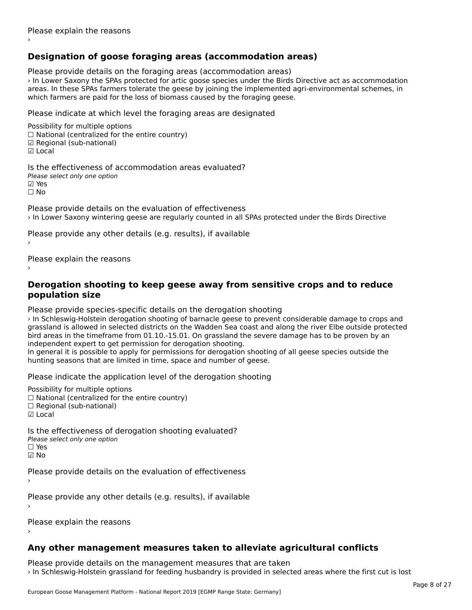# **Designation of goose foraging areas (accommodation areas)**

Please provide details on the foraging areas (accommodation areas)

› In Lower Saxony the SPAs protected for artic goose species under the Birds Directive act as accommodation areas. In these SPAs farmers tolerate the geese by joining the implemented agri-environmental schemes, in areas. In these SFAS farmers tolerate the geese by joining the implemented a<br>which farmers are paid for the loss of biomass caused by the foraging geese.

Please indicate at which level the foraging areas are designated

Possibility for multiple options rossibility for multiple options<br>□ National (centralized for the entire country) □ National (centralized io<br>☑ Regional (sub-national) ☑ Local

Is the effectiveness of accommodation areas evaluated?Please select only one option ☑ Yes☐ No

Please provide details on the evaluation of effectiveness › In Lower Saxony wintering geese are regularly counted in all SPAs protected under the Birds Directive

Please provide any other details (e.g. results), if available

Please explain the reasons

### **Derogation shooting to keep geese away from sensitive crops and to reduce population size**

Please provide species-specific details on the derogation shooting

› In Schleswig-Holstein derogation shooting of barnacle geese to prevent considerable damage to crops and grassland is allowed in selected districts on the Wadden Sea coast and along the river Elbe outside protected grassiand is allowed in selected districts on the wadden sea coast and along the river Libe odtside prote<br>bird areas in the timeframe from 01.10.-15.01. On grassland the severe damage has to be proven by an bird areas in the timename nonrot.10.-15.01. On grassiand transport<br>independent expert to get permission for derogation shooting.

Independent expert to get permission for derogation shooting.<br>In general it is possible to apply for permissions for derogation shooting of all geese species outside the In general it is possible to apply for permissions for derogation shooth<br>hunting seasons that are limited in time, space and number of geese.

Please indicate the application level of the derogation shooting

Possibility for multiple options

rossibility for multiple options<br>□ National (centralized for the entire country)

- □ National (centralized io<br>□ Regional (sub-national)
- ☑ Local

Is the effectiveness of derogation shooting evaluated? Please select only one option

☐ Yes

☑ No

Please provide details on the evaluation of effectiveness

Please provide any other details (e.g. results), if available

Please explain the reasons

# **Any other management measures taken to alleviate agricultural conflicts**

Please provide details on the management measures that are taken › In Schleswig-Holstein grassland for feeding husbandry is provided in selected areas where the first cut is lost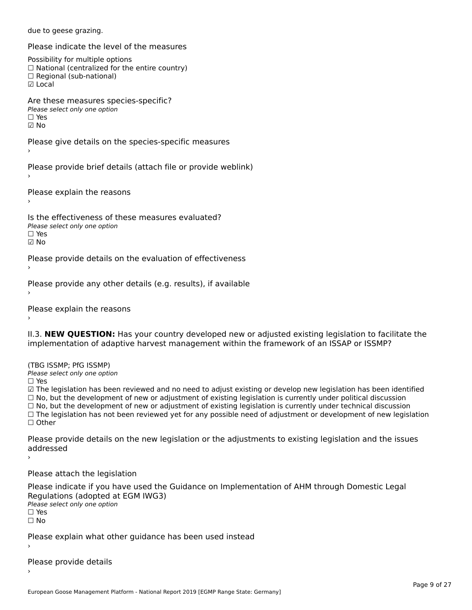due to geese grazing.

Please indicate the level of the measures

Possibility for multiple options

rossibility for multiple options<br>□ National (centralized for the entire country)

□ National (centralized io<br>□ Regional (sub-national)

☑ Local

Are these measures species-specific?

ric criese measures spe<br>Please select only one option

☐ Yes

☑ No

Please give details on the species-specific measures

›

Please provide brief details (attach file or provide weblink)

Please explain the reasons

Is the effectiveness of these measures evaluated?Please select only one option ☐ Yes

☑ No

Please provide details on the evaluation of effectiveness

Please provide any other details (e.g. results), if available

Please explain the reasons

II.3. **NEW QUESTION:** Has your country developed new or adjusted existing legislation to facilitate the implementation of adaptive harvest management within the framework of an ISSAP or ISSMP?

(TBG ISSMP; PfG ISSMP) Please select only one option

☐ Yes

☑ The legislation has been reviewed and no need to adjust existing or develop new legislation has been identified ⊠ The regislation has been reviewed and no need to adjust existing or develop new regislation has been ident<br>□ No, but the development of new or adjustment of existing legislation is currently under political discussion  $□$  No, but the development of new or adjustment of existing legislation is currently under technical discussion<br> $□$  No, but the development of new or adjustment of existing legislation is currently under technical discus  $\Box$  The legislation has not been reviewed yet for any possible need of adjustment or development of new legislation ☐ Other

Please provide details on the new legislation or the adjustments to existing legislation and the issues addressed

›

Please attach the legislation

Please indicate if you have used the Guidance on Implementation of AHM through Domestic Legal Regulations (adopted at EGM IWG3) Please select only one optionriease<br>□ Yes □ Yes<br>□ No

Please explain what other guidance has been used instead

Please provide details

European Goose Management Platform - National Report 2019 [EGMP Range State: Germany]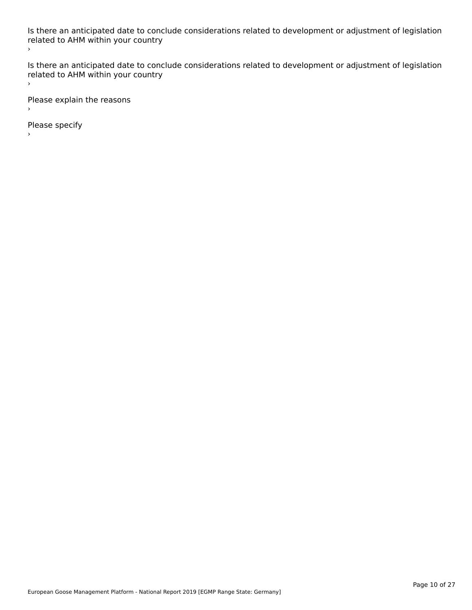Is there an anticipated date to conclude considerations related to development or adjustment of legislation is there an anticipated date to cont<br>related to AHM within your country ›

Is there an anticipated date to conclude considerations related to development or adjustment of legislation related to Arm within your country  $\bar{\phantom{a}}$ 

Please explain the reasons

Please specify

European Goose Management Platform - National Report 2019 [EGMP Range State: Germany]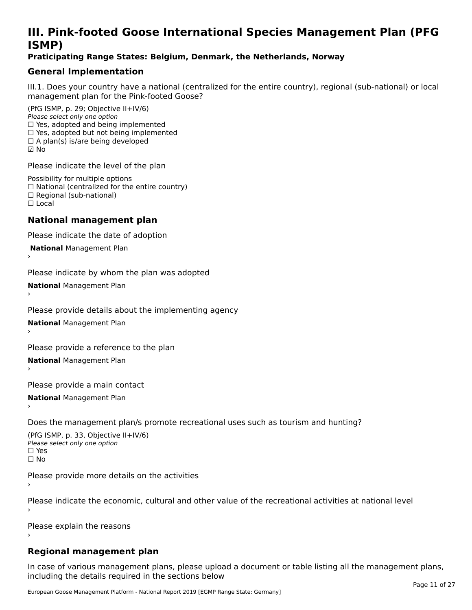# **III. Pink-footed Goose International Species Management Plan (PFG**III. FIIIN-IUULEU GUUSE IIILEI II**atiunai Species Management Fian (FTG**<br>ISMD)

# **Praticipating Range States: Belgium, Denmark, the Netherlands, Norway**

# **General Implementation**

III.1. Does your country have a national (centralized for the entire country), regional (sub-national) or local

(PfG ISMP, p. 29; Objective II+IV/6) Please select only one option *riease select only one option*<br>□ Yes, adopted and being implemented  $\Box$  res, adopted and being implemented<br> $\Box$  Yes, adopted but not being implemented  $\Box$  A plan(s) is/are being developed ☑ No

Please indicate the level of the plan

Possibility for multiple options rossibility for multiple options<br>□ National (centralized for the entire country) □ National (centralized io<br>□ Regional (sub-national) ☐ Local

#### **National management plan**

Please indicate the date of adoption

 **National** Management Plan

›

Please indicate by whom the plan was adopted

**National** Management Plan ›

Please provide details about the implementing agency

**National** Management Plan ›

Please provide a reference to the plan

**National** Management Plan ›

Please provide a main contact

**National** Management Plan ›

Does the management plan/s promote recreational uses such as tourism and hunting?

(PfG ISMP, p. 33, Objective II+IV/6) Please select only one optionPlease select only one option  $\square$  Yes ☐ No

Please provide more details on the activities

Please indicate the economic, cultural and other value of the recreational activities at national level

Please explain the reasons

# **Regional management plan**

In case of various management plans, please upload a document or table listing all the management plans,in case or various management plans, please uploa<br>in the direct below the its required in the sections below including the details required in the sections below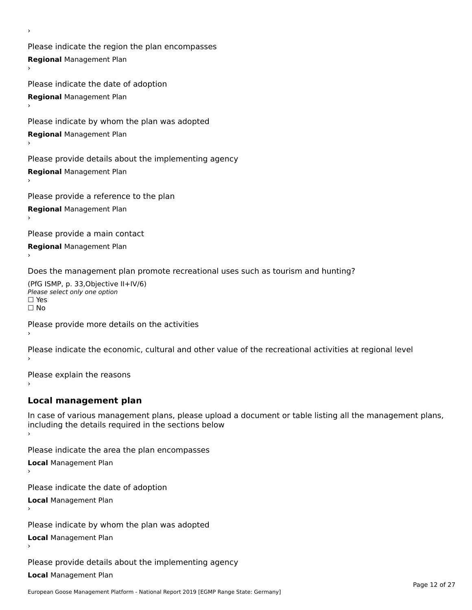Please indicate the region the plan encompasses **Regional** Management Plan

Please indicate the date of adoption **Regional** Management Plan ›

Please indicate by whom the plan was adopted

**Regional** Management Plan

›

Please provide details about the implementing agency

**Regional** Management Plan

Please provide a reference to the plan

**Regional** Management Plan

Please provide a main contact

**Regional** Management Plan

Does the management plan promote recreational uses such as tourism and hunting?

(PfG ISMP, p. 33,Objective II+IV/6) ∩∩ וויוכו פון<br>Please select only one option<br>□ Yes □ Yes<br>□ No

Please provide more details on the activities

Please indicate the economic, cultural and other value of the recreational activities at regional level

Please explain the reasons ›

# **Local management plan**

In case of various management plans, please upload a document or table listing all the management plans, In case of various management plans, please uploa<br>including the details required in the sections below

Please indicate the area the plan encompasses

**Local** Management Plan

Please indicate the date of adoption

**Local** Management Plan›

Please indicate by whom the plan was adopted

**Local** Management Plan

Please provide details about the implementing agency

**Local** Management Plan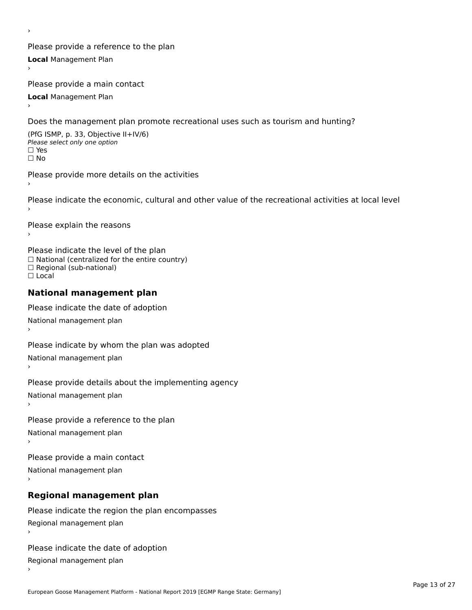Please provide a reference to the plan **Local** Management Plan

Please provide a main contact

**Local** Management Plan

›

Does the management plan promote recreational uses such as tourism and hunting?

(PfG ISMP, p. 33, Objective II+IV/6) Please select only one option☐ Yes☐ No

Please provide more details on the activities

Please indicate the economic, cultural and other value of the recreational activities at local level

Please explain the reasons ›

Please indicate the level of the plan ∩ease marcate the lever of the plan<br>□ National (centralized for the entire country) □ National (centralized io<br>□ Regional (sub-national) ☐ Local

#### **National management plan**

Please indicate the date of adoption National management plan

Please indicate by whom the plan was adopted National management plan ›

Please provide details about the implementing agency

National management plan

Please provide a reference to the plan

National management plan

Please provide a main contact

National management plan

# **Regional management plan**

Please indicate the region the plan encompasses Regional management plan

Please indicate the date of adoption

Regional management plan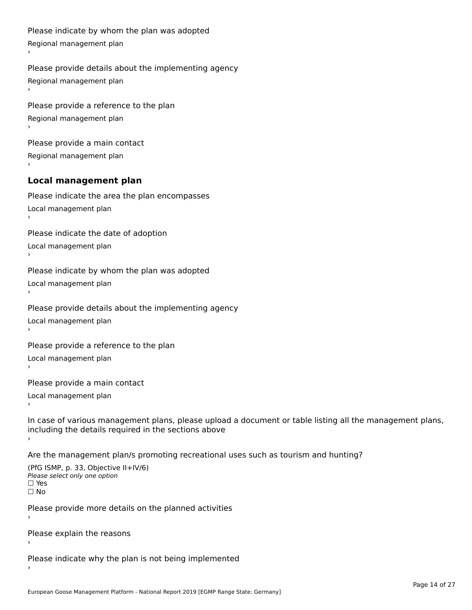```
Please indicate by whom the plan was adopted Regional management plan
Please provide details about the implementing agency Regional management plan
Please provide a reference to the plan Regional management plan
Please provide a main contact Regional management plan
Local management plan
Please indicate the area the plan encompasses Local management plan›Please indicate the date of adoption Local management plan١,
Please indicate by whom the plan was adopted Local management plan›Please provide details about the implementing agency Local management plan١,
Please provide a reference to the plan Local management plan›Please provide a main contact Local management plan١,
In case of various management plans, please upload a document or table listing all the management plans,in case or various management plans, please upload
including the details required in the sections above
Are the management plan/s promoting recreational uses such as tourism and hunting?
```

```
(PfG ISMP, p. 33, Objective II+IV/6)
Please select only one option☐ Yes☐ No
```
Please provide more details on the planned activities

Please explain the reasons›

Please indicate why the plan is not being implemented›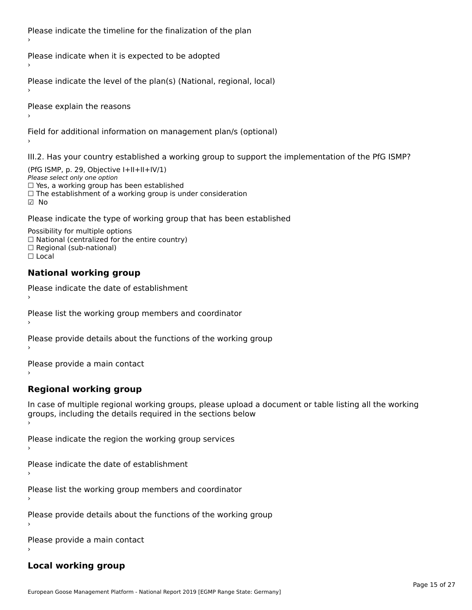Please indicate the timeline for the finalization of the plan

Please indicate when it is expected to be adopted

Please indicate the level of the plan(s) (National, regional, local)

Please explain the reasons

Field for additional information on management plan/s (optional)

III.2. Has your country established a working group to support the implementation of the PfG ISMP?

(PfG ISMP, p. 29, Objective  $I+II+II+IV/1$ ) Please select only one option □ Yes, a working group has been established □ Tes, a working group has been established<br>□ The establishment of a working group is under consideration

Please indicate the type of working group that has been established

Possibility for multiple options ™assibility for multiple options<br>□ National (centralized for the entire country) □ National (centralized io<br>□ Regional (sub-national)  $\Box$  Local

#### **National working group**

›

Please indicate the date of establishment

Please list the working group members and coordinator ›

Please provide details about the functions of the working group ›

Please provide a main contact ›

**Regional working group**

In case of multiple regional working groups, please upload a document or table listing all the working In case of multiple regional working groups, please upload a<br>groups, including the details required in the sections below

Please indicate the region the working group services ›

Please indicate the date of establishment ›

Please list the working group members and coordinator ›

Please provide details about the functions of the working group ›

Please provide a main contact ›

# **Local working group**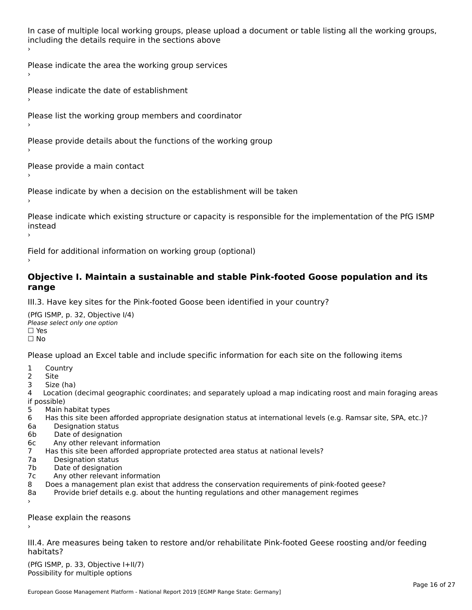In case of multiple local working groups, please upload a document or table listing all the working groups, including the details require in the sections above

Please indicate the area the working group services ›

Please indicate the date of establishment ›

Please list the working group members and coordinator

›

Please provide details about the functions of the working group ›

Please provide a main contact ›

Please indicate by when a decision on the establishment will be taken

Please indicate which existing structure or capacity is responsible for the implementation of the PfG ISMP instead ›

Field for additional information on working group (optional)

### **Objective I. Maintain a sustainable and stable Pink-footed Goose population and its range**range

III.3. Have key sites for the Pink-footed Goose been identified in your country?

(PfG ISMP, p. 32, Objective I/4)Please select only one option ☐ Yes☐ No

Please upload an Excel table and include specific information for each site on the following items

- $1 \quad \alpha$
- 2 Site
- 2 Site<br>3 Size (ha)

د حدد una<br>4 Location (decimal geographic coordinates; and separately upload a map indicating roost and main foraging areas 4 Location<br>if possible)

- 5 Main habitat types
- 6 Has this site been afforded appropriate designation status at international levels (e.g. Ramsar site, SPA, etc.)? 6. Bestweetter status
- 6a Designation status<br>6b Date of designation
- 
- 6c Any other relevant information
- 7 Has this site been afforded appropriate protected area status at national levels? 7a Designation status
- 7a Designation status<br>7b Date of designation
- 
- 7c Any other relevant information
- 8 Does a management plan exist that address the conservation requirements of pink-footed geese?
- 8a Provide brief details e.g. about the hunting regulations and other management regimes ›

Please explain the reasons

III.4. Are measures being taken to restore and/or rehabilitate Pink-footed Geese roosting and/or feeding habitats?

 $(PCI GMP, p. 33, Qb)$  is the I+II/7) Possibility for multiple optionsPossibility for multiple options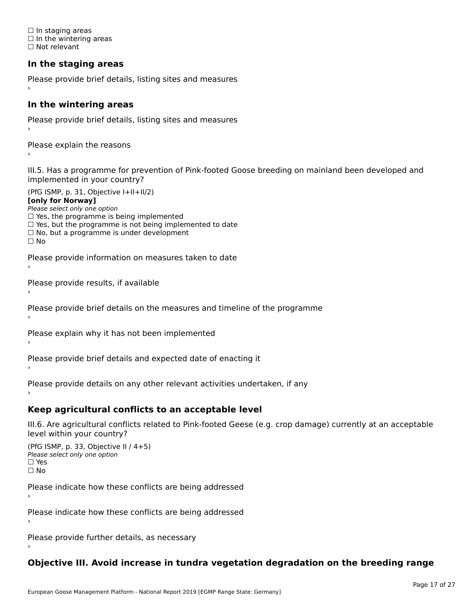☐ In staging areas □ in staging areas<br>□ In the wintering areas ☐ Not relevant

# **In the staging areas**

```
Please provide brief details, listing sites and measures ›
```
#### **In the wintering areas**

Please provide brief details, listing sites and measures ›

Please explain the reasons

III.5. Has a programme for prevention of Pink-footed Goose breeding on mainland been developed and implemented in your country?

(PfG ISMP, p. 31, Objective I+II+II/2)

**[only for Norway]**

Please select only one option riease select only one option<br>□ Yes, the programme is being implemented

 $\Box$  ies, the programme is being implemented to date  $\Box$  Yes, but the programme is not being implemented to date

 $\Box$  No, but a programme is under development

Please provide information on measures taken to date

Please provide results, if available

Please provide brief details on the measures and timeline of the programme

Please explain why it has not been implemented

Please provide brief details and expected date of enacting it

Please provide details on any other relevant activities undertaken, if any›

**Keep agricultural conflicts to an acceptable level**

III.6. Are agricultural conflicts related to Pink-footed Geese (e.g. crop damage) currently at an acceptable

```
(PfG ISMP, p. 33, Objective II (4+5))
Please select only one option
☐ Yes☐ No
```
Please indicate how these conflicts are being addressed

Please indicate how these conflicts are being addressed›

Please provide further details, as necessary ›

# **Objective III. Avoid increase in tundra vegetation degradation on the breeding range**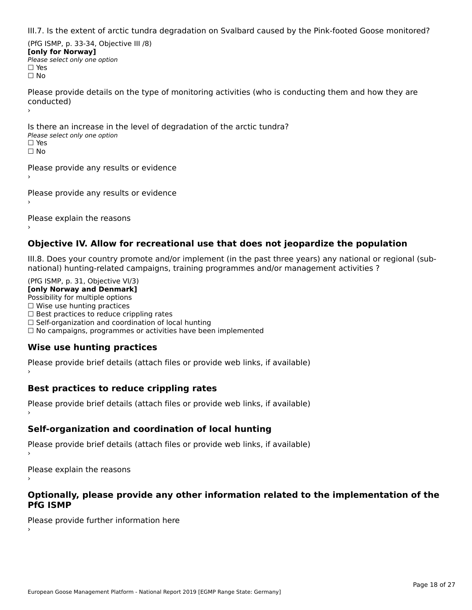III.7. Is the extent of arctic tundra degradation on Svalbard caused by the Pink-footed Goose monitored?

(PfG ISMP, p. 33-34, Objective III /8) **[only for Norway] Please select only one option** □ Yes<br>□ No

Please provide details on the type of monitoring activities (who is conducting them and how they are riease prov ›

Is there an increase in the level of degradation of the arctic tundra? □ CitCre dir increduce in c<br>Please select only one option □ Yes<br>□ No

Please provide any results or evidence

Please provide any results or evidence

Please explain the reasons›

# **Objective IV. Allow for recreational use that does not jeopardize the population**

III.8. Does your country promote and/or implement (in the past three years) any national or regional (sub $m.6.198$  your country promove and/or miplement (in the past time years) any national or

(PfG ISMP, p. 31, Objective VI/3) **[only Norway and Denmark]** Possibility for multiple options ☐ Wise use hunting practices  $\Box$  wise use numing practices<br> $\Box$  Best practices to reduce crippling rates □ Best practices to reduce crippinig rates<br>□ Self-organization and coordination of local hunting □ Sen-organization and coordination or local nunting<br>□ No campaigns, programmes or activities have been implemented

# **Wise use hunting practices**

Please provide brief details (attach files or provide web links, if available) ›

# **Best practices to reduce crippling rates**

Please provide brief details (attach files or provide web links, if available)

# **Self-organization and coordination of local hunting**

Please provide brief details (attach files or provide web links, if available)

Please explain the reasons

### **Optionally, please provide any other information related to the implementation of the PfG ISMP**

Please provide further information here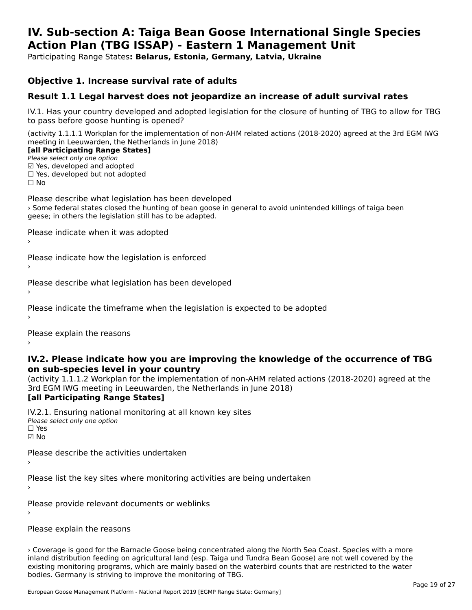#### **IV. Sub-section A: Taiga Bean Goose International Single Species Action Plan (TBG ISSAP) - Eastern 1 Management UnitAction Plan (TBG ISSAP) - Eastern 1 Management Unit**

Participating Range States**: Belarus, Estonia, Germany, Latvia, Ukraine** 

# **Objective 1. Increase survival rate of adults**

# **Result 1.1 Legal harvest does not jeopardize an increase of adult survival rates**

IV.1. Has your country developed and adopted legislation for the closure of hunting of TBG to allow for TBG IV.1. Thas your country developed and add<br>to pass before goose hunting is opened?

(activity 1.1.1.1 Workplan for the implementation of non-AHM related actions (2018-2020) agreed at the 3rd EGM IWG meeting in Leeuwarden, the Netherlands in June 2018) **[all Participating Range States]**

#### [all Participating Range States]

Please select only one option ☑ Yes, developed and adopted☐ Yes, developed but not adopted

 $\Box$  ies, developed but not adopted

Please describe what legislation has been developed › Some federal states closed the hunting of bean goose in general to avoid unintended killings of taiga been geese; in others the legislation still has to be adapted.

Please indicate when it was adopted

Please indicate how the legislation is enforced

Please describe what legislation has been developed

Please indicate the timeframe when the legislation is expected to be adopted

Please explain the reasons

### **IV.2. Please indicate how you are improving the knowledge of the occurrence of TBG on sub-species level in your country**on sub-species level in your country

on sub-species fever in your country<br>(activity 1.1.1.2 Workplan for the implementation of non-AHM related actions (2018-2020) agreed at the **[all Participating Range States]**

IV.2.1. Ensuring national monitoring at all known key sites <del>■ Western Chroning</del> Hational<br>Please select only one option ☑ No

Please describe the activities undertaken›

Please list the key sites where monitoring activities are being undertaken

Please provide relevant documents or weblinks

Please explain the reasons

› Coverage is good for the Barnacle Goose being concentrated along the North Sea Coast. Species with a more inland distribution feeding on agricultural land (esp. Taiga und Tundra Bean Goose) are not well covered by the maind distribution reeding on agricultural land (esp. large dind lunche bean Goose) are not wen covered by the<br>existing monitoring programs, which are mainly based on the waterbird counts that are restricted to the water bodies. Germany is striving to improve the monitoring of TBG.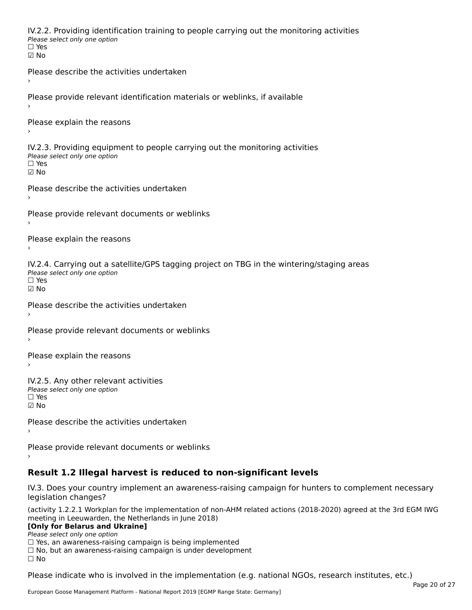IV.2.2. Providing identification training to people carrying out the monitoring activities Please select only one option ☐ Yes☑ NoPlease describe the activities undertaken›Please provide relevant identification materials or weblinks, if available

Please explain the reasons›

IV.2.3. Providing equipment to people carrying out the monitoring activities Please select only one option ☐ Yes☑ No

Please describe the activities undertaken›

Please provide relevant documents or weblinks

Please explain the reasons

IV.2.4. Carrying out a satellite/GPS tagging project on TBG in the wintering/staging areas Please select only one option☐ Yes☑ No

Please describe the activities undertaken›

Please provide relevant documents or weblinks

Please explain the reasons

IV.2.5. Any other relevant activities Please select only one option ☐ Yes☑ No

Please describe the activities undertaken›

```
Please provide relevant documents or weblinks
```
# **Result 1.2 Illegal harvest is reduced to non-significant levels**

IV.3. Does your country implement an awareness-raising campaign for hunters to complement necessary legislation changes?

(activity 1.2.2.1 Workplan for the implementation of non-AHM related actions (2018-2020) agreed at the 3rd EGM IWG meeting in Leeuwarden, the Netherlands in June 2018)

### **[Only for Belarus and Ukraine]**

**Please select only one option** 

 $\Box$  Yes, an awareness-raising campaign is being implemented  $\Box$  Yes, an awareness-raising campaign is being implemented

□ No, but an awareness-raising campaign is under development<br>□ No

 $\Box$  No

Please indicate who is involved in the implementation (e.g. national NGOs, research institutes, etc.)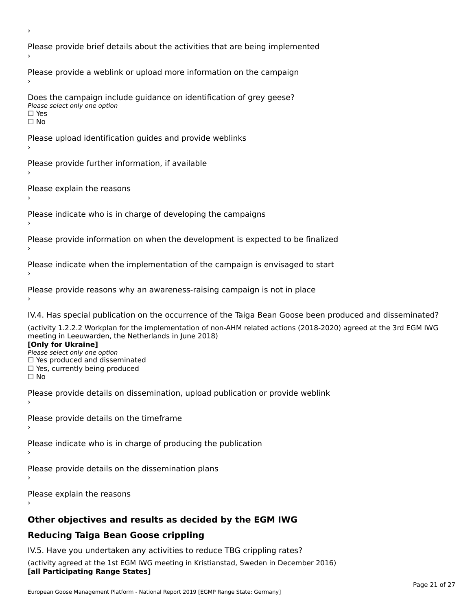›Please provide brief details about the activities that are being implemented Please provide a weblink or upload more information on the campaign Does the campaign include guidance on identification of grey geese? Please select only one option☐ Yes☐ NoPlease upload identification guides and provide weblinks Please provide further information, if available Please explain the reasons›Please indicate who is in charge of developing the campaigns Please provide information on when the development is expected to be finalized Please indicate when the implementation of the campaign is envisaged to start Please provide reasons why an awareness-raising campaign is not in place IV.4. Has special publication on the occurrence of the Taiga Bean Goose been produced and disseminated? (activity 1.2.2.2 Workplan for the implementation of non-AHM related actions (2018-2020) agreed at the 3rd EGM IWG meeting in Leeuwarden, the Netherlands in June 2018) **[Only for Ukraine] LOTTLY TOT ONTAILLET**<br>Please select only one option *Please select only one option*<br>□ Yes produced and disseminated □ Tes produced and dissemmate<br>□ Yes, currently being produced ☐ NoPlease provide details on dissemination, upload publication or provide weblink Please provide details on the timeframe Please indicate who is in charge of producing the publication Please provide details on the dissemination plans Please explain the reasons **Other objectives and results as decided by the EGM IWG**

# **Reducing Taiga Bean Goose crippling**

IV.5. Have you undertaken any activities to reduce TBG crippling rates? (activity agreed at the 1st EGM IWG meeting in Kristianstad, Sweden in December 2016) **[all Participating Range States]**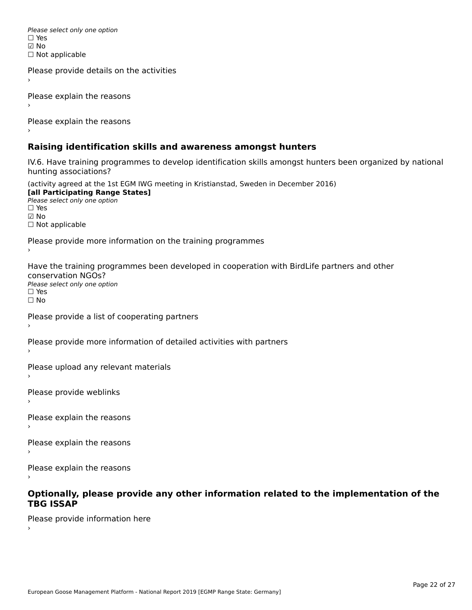Please select only one option ☑ No☐ Not applicable

Please provide details on the activities

```
Please explain the reasons
```
Please explain the reasons

# **Raising identification skills and awareness amongst hunters**

IV.6. Have training programmes to develop identification skills amongst hunters been organized by national rv.o. riave training pro<br>hunting associations?

(activity agreed at the 1st EGM IWG meeting in Kristianstad, Sweden in December 2016) **[all Participating Range States] Lan Tarticipating Range**<br>Please select only one option *riease*<br>□ Yes ☑ No☐ Not applicable Please provide more information on the training programmes Have the training programmes been developed in cooperation with BirdLife partners and other riave the training pro<br>conservation NGOs? ⊂onservation NGOS.<br>Please select only one option □ Yes<br>□ No Please provide a list of cooperating partners Please provide more information of detailed activities with partners Please upload any relevant materials Please provide weblinks Please explain the reasons Please explain the reasons›Please explain the reasons

# **Optionally, please provide any other information related to the implementation of the TBG ISSAP**

Please provide information here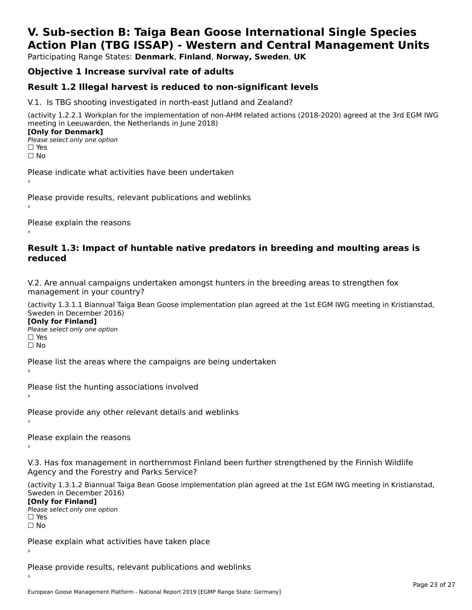# **V. Sub-section B: Taiga Bean Goose International Single SpeciesAction Plan (TBG ISSAP) - Western and Central Management Units**

Participating Range States: **Denmark**, **Finland**, **Norway, Sweden**, **UK**

# **Objective 1 Increase survival rate of adults**

# **Result 1.2 Illegal harvest is reduced to non-significant levels**

V.1. Is TBG shooting investigated in north-east Jutland and Zealand?

(activity 1.2.2.1 Workplan for the implementation of non-AHM related actions (2018-2020) agreed at the 3rd EGM IWG meeting in Leeuwarden, the Netherlands in June 2018) **[Only for Denmark] LOTTLY TOT DETITIONS**<br>Please select only one option

*riease*<br>□ Yes<br>□ No

Please indicate what activities have been undertaken›

Please provide results, relevant publications and weblinks ›

Please explain the reasons

### **Result 1.3: Impact of huntable native predators in breeding and moulting areas is reduced**

V.2. Are annual campaigns undertaken amongst hunters in the breeding areas to strengthen fox v.z. Are annual campaigns und<br>management in your country?

(activity 1.3.1.1 Biannual Taiga Bean Goose implementation plan agreed at the 1st EGM IWG meeting in Kristianstad, Sweden in December 2016)

**[Only for Finland]** Please select only one optionriease<br>□ Yes ים וכ<br>⊡ No

Please list the areas where the campaigns are being undertaken

Please list the hunting associations involved

Please provide any other relevant details and weblinks ›

Please explain the reasons›

V.3. Has fox management in northernmost Finland been further strengthened by the Finnish Wildlife v.5. Has fox management in northernmost F<br>Agency and the Forestry and Parks Service?

(activity 1.3.1.2 Biannual Taiga Bean Goose implementation plan agreed at the 1st EGM IWG meeting in Kristianstad, Sweden in December 2016) Sweden in December 2016)

[Only for Finland]

**Please select only one option** □ Yes<br>□ No

Please explain what activities have taken place

Please provide results, relevant publications and weblinks ›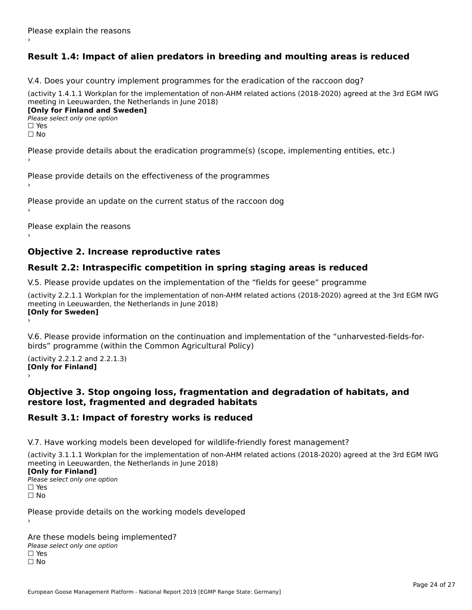# **Result 1.4: Impact of alien predators in breeding and moulting areas is reduced**

V.4. Does your country implement programmes for the eradication of the raccoon dog?

(activity 1.4.1.1 Workplan for the implementation of non-AHM related actions (2018-2020) agreed at the 3rd EGM IWG meeting in Leeuwarden, the Netherlands in June 2018) **[Only for Finland and Sweden]**

**Please select only one option** 

□ Yes<br>□ No

Please provide details about the eradication programme(s) (scope, implementing entities, etc.)

Please provide details on the effectiveness of the programmes

Please provide an update on the current status of the raccoon dog

Please explain the reasons

# **Objective 2. Increase reproductive rates**

# **Result 2.2: Intraspecific competition in spring staging areas is reduced**

V.5. Please provide updates on the implementation of the "fields for geese" programme

(activity 2.2.1.1 Workplan for the implementation of non-AHM related actions (2018-2020) agreed at the 3rd EGM IWG meeting in Leeuwarden, the Netherlands in June 2018) Loury for Swedent

V.6. Please provide information on the continuation and implementation of the "unharvested-fields-forbirds" programme (within the Common Agricultural Policy)birds" programme (within the Common Agricultural Policy)

(activity 2.2.1.2 and 2.2.1.3) **[Only for Finland]** ›

### **Objective 3. Stop ongoing loss, fragmentation and degradation of habitats, and restore lost, fragmented and degraded habitats**

# **Result 3.1: Impact of forestry works is reduced**

V.7. Have working models been developed for wildlife-friendly forest management?

(activity 3.1.1.1 Workplan for the implementation of non-AHM related actions (2018-2020) agreed at the 3rd EGM IWG meeting in Leeuwarden, the Netherlands in June 2018)

### **[Only for Finland]**

**Please select only one option** □ Yes<br>□ No

Please provide details on the working models developed

Are these models being implemented? ∩ne enese moders being<br>Please select only one option □ Yes<br>□ No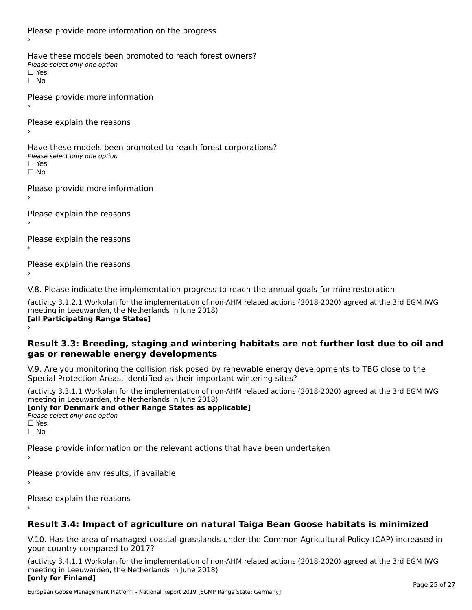Please provide more information on the progress Have these models been promoted to reach forest owners? ∩ave these models bee<br>Please select only one option □ Yes<br>□ No Please provide more information Please explain the reasons ›Have these models been promoted to reach forest corporations? ∩ave these models bee<br>Please select only one option □ Yes<br>□ No Please provide more information Please explain the reasons ›Please explain the reasons›Please explain the reasons›

V.8. Please indicate the implementation progress to reach the annual goals for mire restoration

(activity 3.1.2.1 Workplan for the implementation of non-AHM related actions (2018-2020) agreed at the 3rd EGM IWG meeting in Leeuwarden, the Netherlands in June 2018) **[all Participating Range States]** ›

**Result 3.3: Breeding, staging and wintering habitats are not further lost due to oil and gas or renewable energy developments**gas or renewable energy developments

V.9. Are you monitoring the collision risk posed by renewable energy developments to TBG close to the Special Protection Areas, identified as their important wintering sites?

(activity 3.3.1.1 Workplan for the implementation of non-AHM related actions (2018-2020) agreed at the 3rd EGM IWG meeting in Leeuwarden, the Netherlands in June 2018) **[only for Denmark and other Range States as applicable]**

```
Please select only one option
□ Yes<br>□ No
```
Please provide information on the relevant actions that have been undertaken ›

Please provide any results, if available

Please explain the reasons

# **Result 3.4: Impact of agriculture on natural Taiga Bean Goose habitats is minimized**

V.10. Has the area of managed coastal grasslands under the Common Agricultural Policy (CAP) increased in

(activity 3.4.1.1 Workplan for the implementation of non-AHM related actions (2018-2020) agreed at the 3rd EGM IWG meeting in Leeuwarden, the Netherlands in June 2018) **[only for Finland]**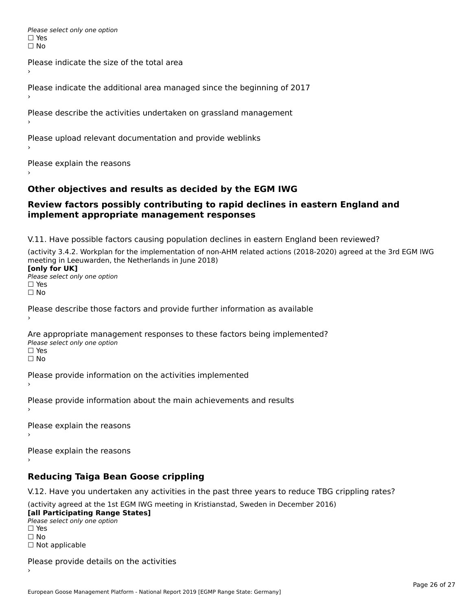Please select only one option □ Yes<br>□ No

Please indicate the size of the total area›

Please indicate the additional area managed since the beginning of 2017

Please describe the activities undertaken on grassland management

Please upload relevant documentation and provide weblinks

Please explain the reasons

# **Other objectives and results as decided by the EGM IWG**

### **Review factors possibly contributing to rapid declines in eastern England and implement appropriate management responses**implement appropriate management responses

V.11. Have possible factors causing population declines in eastern England been reviewed?

(activity 3.4.2. Workplan for the implementation of non-AHM related actions (2018-2020) agreed at the 3rd EGM IWG meeting in Leeuwarden, the Netherlands in June 2018)<br>**[only for UK]** 

**∐omy for OR**<br>Please select only one option □ Yes<br>□ No

Please describe those factors and provide further information as available

Are appropriate management responses to these factors being implemented? Please select only one option ים<br>⊡ No

Please provide information on the activities implemented

Please provide information about the main achievements and results›

Please explain the reasons

Please explain the reasons

**Reducing Taiga Bean Goose crippling**

V.12. Have you undertaken any activities in the past three years to reduce TBG crippling rates?

(activity agreed at the 1st EGM IWG meeting in Kristianstad, Sweden in December 2016) **[all Participating Range States]**

[all Participating Range States] Please select only one option☐ Yesים<br>⊡ No □ Not applicable

Please provide details on the activities